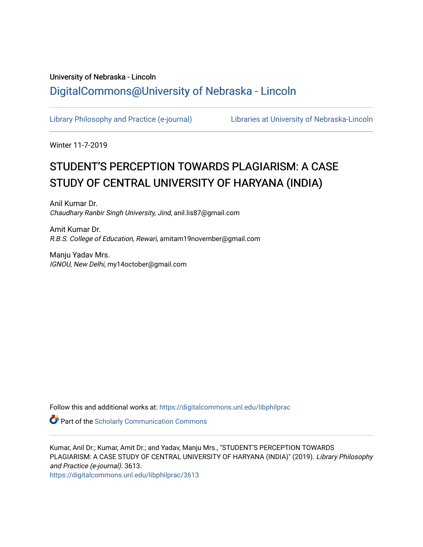# University of Nebraska - Lincoln [DigitalCommons@University of Nebraska - Lincoln](https://digitalcommons.unl.edu/)

[Library Philosophy and Practice \(e-journal\)](https://digitalcommons.unl.edu/libphilprac) [Libraries at University of Nebraska-Lincoln](https://digitalcommons.unl.edu/libraries) 

Winter 11-7-2019

# STUDENT'S PERCEPTION TOWARDS PLAGIARISM: A CASE STUDY OF CENTRAL UNIVERSITY OF HARYANA (INDIA)

Anil Kumar Dr. Chaudhary Ranbir Singh University, Jind, anil.lis87@gmail.com

Amit Kumar Dr. R.B.S. College of Education, Rewari, amitam19november@gmail.com

Manju Yadav Mrs. IGNOU, New Delhi, my14october@gmail.com

Follow this and additional works at: [https://digitalcommons.unl.edu/libphilprac](https://digitalcommons.unl.edu/libphilprac?utm_source=digitalcommons.unl.edu%2Flibphilprac%2F3613&utm_medium=PDF&utm_campaign=PDFCoverPages) 

**Part of the Scholarly Communication Commons** 

Kumar, Anil Dr.; Kumar, Amit Dr.; and Yadav, Manju Mrs., "STUDENT'S PERCEPTION TOWARDS PLAGIARISM: A CASE STUDY OF CENTRAL UNIVERSITY OF HARYANA (INDIA)" (2019). Library Philosophy and Practice (e-journal). 3613.

[https://digitalcommons.unl.edu/libphilprac/3613](https://digitalcommons.unl.edu/libphilprac/3613?utm_source=digitalcommons.unl.edu%2Flibphilprac%2F3613&utm_medium=PDF&utm_campaign=PDFCoverPages)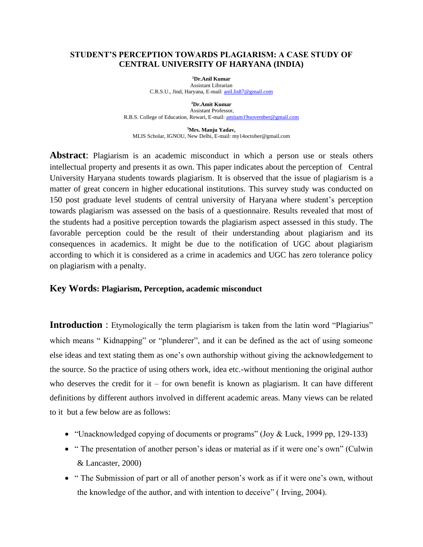#### **STUDENT'S PERCEPTION TOWARDS PLAGIARISM: A CASE STUDY OF CENTRAL UNIVERSITY OF HARYANA (INDIA)**

**<sup>1</sup>Dr.Anil Kumar** Assistant Librarian C.R.S.U., Jind, Haryana, E-mail[: anil.lis87@gmail.com](mailto:anil.lis87@gmail.com)

**<sup>2</sup>Dr.Amit Kumar** Assistant Professor, R.B.S. College of Education, Rewari, E-mail: **amitam19november@gmail.com** 

**<sup>3</sup>Mrs. Manju Yadav,**  MLIS Scholar, IGNOU, New Delhi, E-mail: my14october@gmail.com

**Abstract**: Plagiarism is an academic misconduct in which a person use or steals others intellectual property and presents it as own. This paper indicates about the perception of Central University Haryana students towards plagiarism. It is observed that the issue of plagiarism is a matter of great concern in higher educational institutions. This survey study was conducted on 150 post graduate level students of central university of Haryana where student's perception towards plagiarism was assessed on the basis of a questionnaire. Results revealed that most of the students had a positive perception towards the plagiarism aspect assessed in this study. The favorable perception could be the result of their understanding about plagiarism and its consequences in academics. It might be due to the notification of UGC about plagiarism according to which it is considered as a crime in academics and UGC has zero tolerance policy on plagiarism with a penalty.

#### **Key Words: Plagiarism, Perception, academic misconduct**

**Introduction**: Etymologically the term plagiarism is taken from the latin word "Plagiarius" which means "Kidnapping" or "plunderer", and it can be defined as the act of using someone else ideas and text stating them as one's own authorship without giving the acknowledgement to the source. So the practice of using others work, idea etc.-without mentioning the original author who deserves the credit for it – for own benefit is known as plagiarism. It can have different definitions by different authors involved in different academic areas. Many views can be related to it but a few below are as follows:

- "Unacknowledged copying of documents or programs" (Joy & Luck, 1999 pp, 129-133)
- " The presentation of another person's ideas or material as if it were one's own" (Culwin & Lancaster, 2000)
- " The Submission of part or all of another person's work as if it were one's own, without the knowledge of the author, and with intention to deceive" ( Irving, 2004).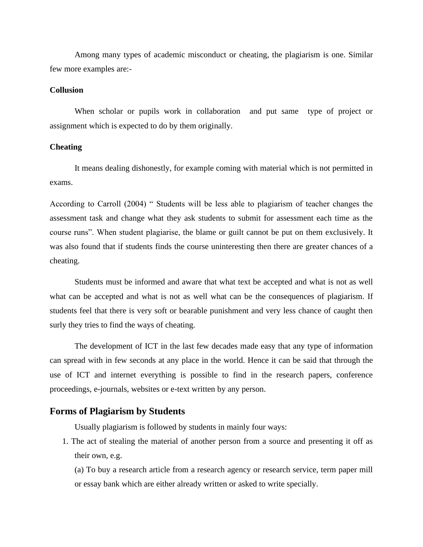Among many types of academic misconduct or cheating, the plagiarism is one. Similar few more examples are:-

#### **Collusion**

When scholar or pupils work in collaboration and put same type of project or assignment which is expected to do by them originally.

#### **Cheating**

It means dealing dishonestly, for example coming with material which is not permitted in exams.

According to Carroll (2004) " Students will be less able to plagiarism of teacher changes the assessment task and change what they ask students to submit for assessment each time as the course runs". When student plagiarise, the blame or guilt cannot be put on them exclusively. It was also found that if students finds the course uninteresting then there are greater chances of a cheating.

Students must be informed and aware that what text be accepted and what is not as well what can be accepted and what is not as well what can be the consequences of plagiarism. If students feel that there is very soft or bearable punishment and very less chance of caught then surly they tries to find the ways of cheating.

The development of ICT in the last few decades made easy that any type of information can spread with in few seconds at any place in the world. Hence it can be said that through the use of ICT and internet everything is possible to find in the research papers, conference proceedings, e-journals, websites or e-text written by any person.

#### **Forms of Plagiarism by Students**

Usually plagiarism is followed by students in mainly four ways:

1. The act of stealing the material of another person from a source and presenting it off as their own, e.g.

(a) To buy a research article from a research agency or research service, term paper mill or essay bank which are either already written or asked to write specially.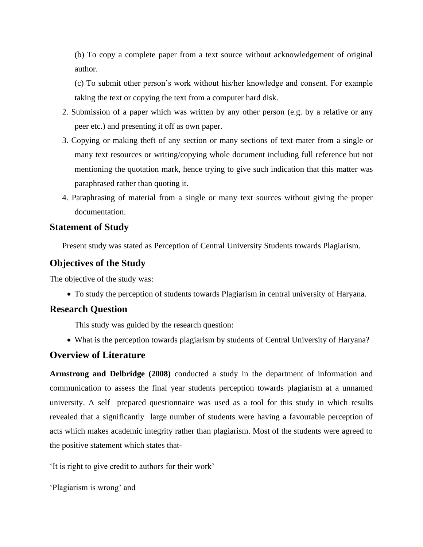(b) To copy a complete paper from a text source without acknowledgement of original author.

(c) To submit other person's work without his/her knowledge and consent. For example taking the text or copying the text from a computer hard disk.

- 2. Submission of a paper which was written by any other person (e.g. by a relative or any peer etc.) and presenting it off as own paper.
- 3. Copying or making theft of any section or many sections of text mater from a single or many text resources or writing/copying whole document including full reference but not mentioning the quotation mark, hence trying to give such indication that this matter was paraphrased rather than quoting it.
- 4. Paraphrasing of material from a single or many text sources without giving the proper documentation.

#### **Statement of Study**

Present study was stated as Perception of Central University Students towards Plagiarism.

### **Objectives of the Study**

The objective of the study was:

• To study the perception of students towards Plagiarism in central university of Haryana.

### **Research Question**

This study was guided by the research question:

• What is the perception towards plagiarism by students of Central University of Haryana?

### **Overview of Literature**

**Armstrong and Delbridge (2008)** conducted a study in the department of information and communication to assess the final year students perception towards plagiarism at a unnamed university. A self prepared questionnaire was used as a tool for this study in which results revealed that a significantly large number of students were having a favourable perception of acts which makes academic integrity rather than plagiarism. Most of the students were agreed to the positive statement which states that-

'It is right to give credit to authors for their work'

```
'Plagiarism is wrong' and
```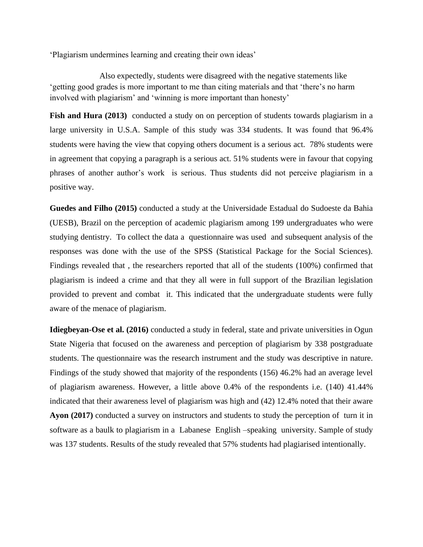'Plagiarism undermines learning and creating their own ideas'

Also expectedly, students were disagreed with the negative statements like 'getting good grades is more important to me than citing materials and that 'there's no harm involved with plagiarism' and 'winning is more important than honesty'

Fish and Hura (2013) conducted a study on on perception of students towards plagiarism in a large university in U.S.A. Sample of this study was 334 students. It was found that 96.4% students were having the view that copying others document is a serious act. 78% students were in agreement that copying a paragraph is a serious act. 51% students were in favour that copying phrases of another author's work is serious. Thus students did not perceive plagiarism in a positive way.

**Guedes and Filho (2015)** conducted a study at the Universidade Estadual do Sudoeste da Bahia (UESB), Brazil on the perception of academic plagiarism among 199 undergraduates who were studying dentistry. To collect the data a questionnaire was used and subsequent analysis of the responses was done with the use of the SPSS (Statistical Package for the Social Sciences). Findings revealed that , the researchers reported that all of the students (100%) confirmed that plagiarism is indeed a crime and that they all were in full support of the Brazilian legislation provided to prevent and combat it. This indicated that the undergraduate students were fully aware of the menace of plagiarism.

**Idiegbeyan-Ose et al. (2016)** conducted a study in federal, state and private universities in Ogun State Nigeria that focused on the awareness and perception of plagiarism by 338 postgraduate students. The questionnaire was the research instrument and the study was descriptive in nature. Findings of the study showed that majority of the respondents (156) 46.2% had an average level of plagiarism awareness. However, a little above 0.4% of the respondents i.e. (140) 41.44% indicated that their awareness level of plagiarism was high and (42) 12.4% noted that their aware **Ayon (2017)** conducted a survey on instructors and students to study the perception of turn it in software as a baulk to plagiarism in a Labanese English –speaking university. Sample of study was 137 students. Results of the study revealed that 57% students had plagiarised intentionally.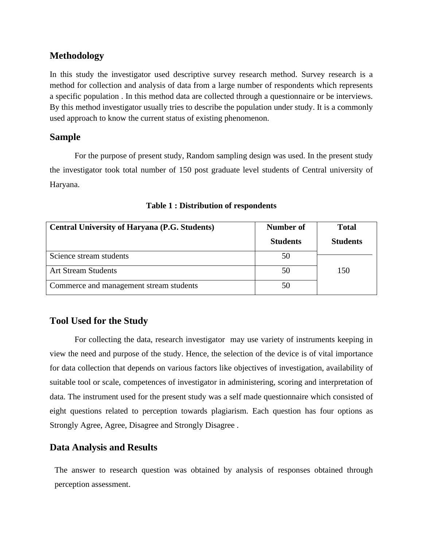### **Methodology**

In this study the investigator used descriptive survey research method. Survey research is a method for collection and analysis of data from a large number of respondents which represents a specific population . In this method data are collected through a questionnaire or be interviews. By this method investigator usually tries to describe the population under study. It is a commonly used approach to know the current status of existing phenomenon.

#### **Sample**

For the purpose of present study, Random sampling design was used. In the present study the investigator took total number of 150 post graduate level students of Central university of Haryana.

| <b>Central University of Haryana (P.G. Students)</b> | Number of       | <b>Total</b>    |
|------------------------------------------------------|-----------------|-----------------|
|                                                      | <b>Students</b> | <b>Students</b> |
| Science stream students                              | 50              |                 |
| <b>Art Stream Students</b>                           | 50              | 150             |
| Commerce and management stream students              | 50              |                 |

**Table 1 : Distribution of respondents**

### **Tool Used for the Study**

For collecting the data, research investigator may use variety of instruments keeping in view the need and purpose of the study. Hence, the selection of the device is of vital importance for data collection that depends on various factors like objectives of investigation, availability of suitable tool or scale, competences of investigator in administering, scoring and interpretation of data. The instrument used for the present study was a self made questionnaire which consisted of eight questions related to perception towards plagiarism. Each question has four options as Strongly Agree, Agree, Disagree and Strongly Disagree .

### **Data Analysis and Results**

The answer to research question was obtained by analysis of responses obtained through perception assessment.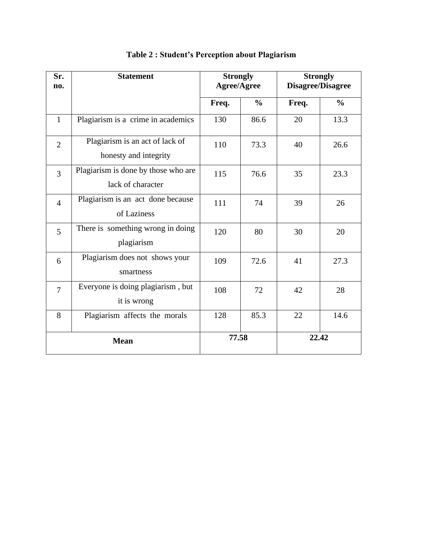| Sr.<br>no.     | <b>Statement</b>                                         | <b>Strongly</b><br><b>Agree/Agree</b> |               | <b>Strongly</b><br>Disagree/Disagree |               |
|----------------|----------------------------------------------------------|---------------------------------------|---------------|--------------------------------------|---------------|
|                |                                                          | Freq.                                 | $\frac{0}{0}$ | Freq.                                | $\frac{0}{0}$ |
| $\mathbf{1}$   | Plagiarism is a crime in academics                       | 130                                   | 86.6          | 20                                   | 13.3          |
| $\overline{2}$ | Plagiarism is an act of lack of<br>honesty and integrity | 110                                   | 73.3          | 40                                   | 26.6          |
| $\overline{3}$ | Plagiarism is done by those who are<br>lack of character | 115                                   | 76.6          | 35                                   | 23.3          |
| $\overline{4}$ | Plagiarism is an act done because<br>of Laziness         | 111                                   | 74            | 39                                   | 26            |
| 5              | There is something wrong in doing<br>plagiarism          | 120                                   | 80            | 30                                   | 20            |
| 6              | Plagiarism does not shows your<br>smartness              | 109                                   | 72.6          | 41                                   | 27.3          |
| $\overline{7}$ | Everyone is doing plagiarism, but<br>it is wrong         | 108                                   | 72            | 42                                   | 28            |
| 8              | Plagiarism affects the morals                            | 128                                   | 85.3          | 22                                   | 14.6          |
| <b>Mean</b>    |                                                          | 77.58                                 |               | 22.42                                |               |

# **Table 2 : Student's Perception about Plagiarism**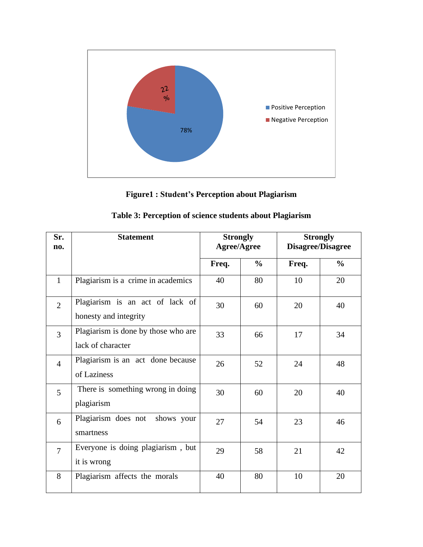

**Figure1 : Student's Perception about Plagiarism**

| Sr.<br>no.     | <b>Statement</b>                                         | <b>Strongly</b><br><b>Agree/Agree</b> |               | <b>Strongly</b><br><b>Disagree/Disagree</b> |               |
|----------------|----------------------------------------------------------|---------------------------------------|---------------|---------------------------------------------|---------------|
|                |                                                          | Freq.                                 | $\frac{6}{6}$ | Freq.                                       | $\frac{6}{6}$ |
| $\mathbf{1}$   | Plagiarism is a crime in academics                       | 40                                    | 80            | 10                                          | 20            |
| $\overline{2}$ | Plagiarism is an act of lack of<br>honesty and integrity | 30                                    | 60            | 20                                          | 40            |
| 3              | Plagiarism is done by those who are<br>lack of character | 33                                    | 66            | 17                                          | 34            |
| $\overline{4}$ | Plagiarism is an act done because<br>of Laziness         | 26                                    | 52            | 24                                          | 48            |
| 5              | There is something wrong in doing<br>plagiarism          | 30                                    | 60            | 20                                          | 40            |
| 6              | Plagiarism does not shows your<br>smartness              | 27                                    | 54            | 23                                          | 46            |
| $\overline{7}$ | Everyone is doing plagiarism, but<br>it is wrong         | 29                                    | 58            | 21                                          | 42            |
| 8              | Plagiarism affects the morals                            | 40                                    | 80            | 10                                          | 20            |

|  |  | Table 3: Perception of science students about Plagiarism |
|--|--|----------------------------------------------------------|
|  |  |                                                          |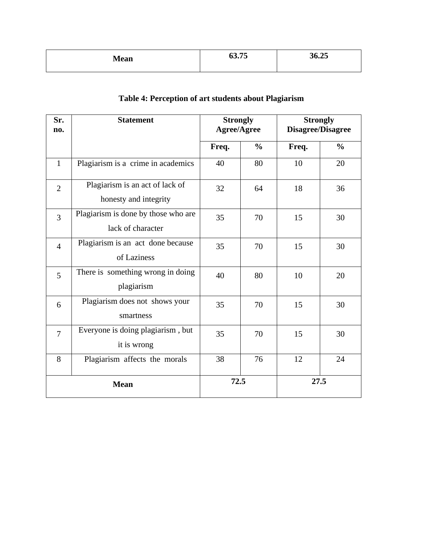| <b>Mean</b> | 63 75<br>0.001 | 36.25 |
|-------------|----------------|-------|
|             |                |       |

| Sr.<br>no.     | <b>Statement</b>                                         | <b>Strongly</b><br><b>Agree/Agree</b> |               | <b>Strongly</b><br><b>Disagree/Disagree</b> |               |
|----------------|----------------------------------------------------------|---------------------------------------|---------------|---------------------------------------------|---------------|
|                |                                                          | Freq.                                 | $\frac{0}{0}$ | Freq.                                       | $\frac{0}{0}$ |
| $\mathbf{1}$   | Plagiarism is a crime in academics                       | 40                                    | 80            | 10                                          | 20            |
| $\overline{2}$ | Plagiarism is an act of lack of<br>honesty and integrity | 32                                    | 64            | 18                                          | 36            |
| 3              | Plagiarism is done by those who are<br>lack of character | 35                                    | 70            | 15                                          | 30            |
| $\overline{4}$ | Plagiarism is an act done because<br>of Laziness         | 35                                    | 70            | 15                                          | 30            |
| 5              | There is something wrong in doing<br>plagiarism          | 40                                    | 80            | 10                                          | 20            |
| 6              | Plagiarism does not shows your<br>smartness              | 35                                    | 70            | 15                                          | 30            |
| $\overline{7}$ | Everyone is doing plagiarism, but<br>it is wrong         | 35                                    | 70            | 15                                          | 30            |
| 8              | Plagiarism affects the morals                            | 38                                    | 76            | 12                                          | 24            |
| <b>Mean</b>    |                                                          | 72.5                                  |               | 27.5                                        |               |

# **Table 4: Perception of art students about Plagiarism**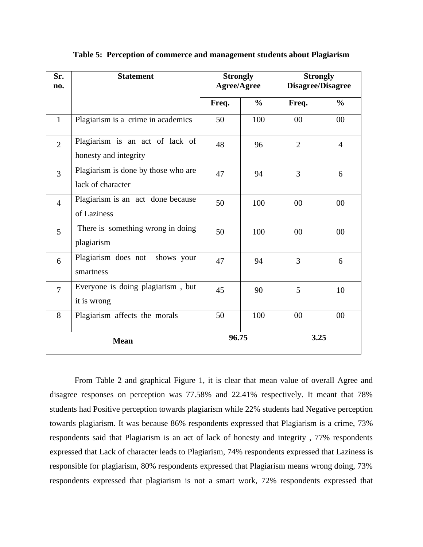| Sr.<br>no.     | <b>Statement</b>                                         | <b>Strongly</b><br><b>Agree/Agree</b> |               | <b>Strongly</b><br><b>Disagree/Disagree</b> |                |
|----------------|----------------------------------------------------------|---------------------------------------|---------------|---------------------------------------------|----------------|
|                |                                                          | Freq.                                 | $\frac{6}{6}$ | Freq.                                       | $\frac{0}{0}$  |
| $\mathbf{1}$   | Plagiarism is a crime in academics                       | 50                                    | 100           | 00                                          | 00             |
| $\overline{2}$ | Plagiarism is an act of lack of<br>honesty and integrity | 48                                    | 96            | $\overline{2}$                              | $\overline{4}$ |
| $\overline{3}$ | Plagiarism is done by those who are<br>lack of character | 47                                    | 94            | 3                                           | 6              |
| $\overline{4}$ | Plagiarism is an act done because<br>of Laziness         | 50                                    | 100           | 00                                          | 00             |
| 5              | There is something wrong in doing<br>plagiarism          | 50                                    | 100           | 00                                          | 00             |
| 6              | Plagiarism does not<br>shows your<br>smartness           | 47                                    | 94            | $\overline{3}$                              | 6              |
| $\overline{7}$ | Everyone is doing plagiarism, but<br>it is wrong         | 45                                    | 90            | 5                                           | 10             |
| 8              | Plagiarism affects the morals                            | 50                                    | 100           | 00                                          | 00             |
| <b>Mean</b>    |                                                          | 96.75                                 |               | 3.25                                        |                |

#### **Table 5: Perception of commerce and management students about Plagiarism**

From Table 2 and graphical Figure 1, it is clear that mean value of overall Agree and disagree responses on perception was 77.58% and 22.41% respectively. It meant that 78% students had Positive perception towards plagiarism while 22% students had Negative perception towards plagiarism. It was because 86% respondents expressed that Plagiarism is a crime, 73% respondents said that Plagiarism is an act of lack of honesty and integrity , 77% respondents expressed that Lack of character leads to Plagiarism, 74% respondents expressed that Laziness is responsible for plagiarism, 80% respondents expressed that Plagiarism means wrong doing, 73% respondents expressed that plagiarism is not a smart work, 72% respondents expressed that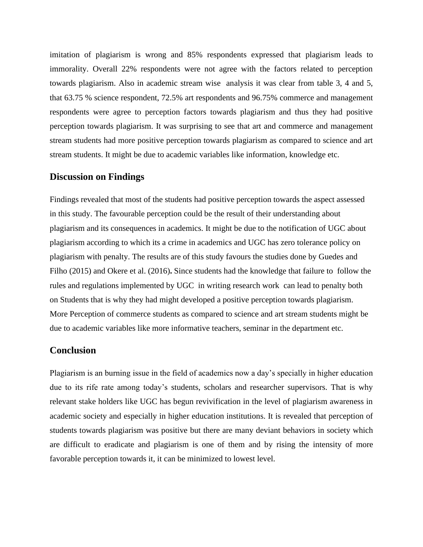imitation of plagiarism is wrong and 85% respondents expressed that plagiarism leads to immorality. Overall 22% respondents were not agree with the factors related to perception towards plagiarism. Also in academic stream wise analysis it was clear from table 3, 4 and 5, that 63.75 % science respondent, 72.5% art respondents and 96.75% commerce and management respondents were agree to perception factors towards plagiarism and thus they had positive perception towards plagiarism. It was surprising to see that art and commerce and management stream students had more positive perception towards plagiarism as compared to science and art stream students. It might be due to academic variables like information, knowledge etc.

#### **Discussion on Findings**

Findings revealed that most of the students had positive perception towards the aspect assessed in this study. The favourable perception could be the result of their understanding about plagiarism and its consequences in academics. It might be due to the notification of UGC about plagiarism according to which its a crime in academics and UGC has zero tolerance policy on plagiarism with penalty. The results are of this study favours the studies done by Guedes and Filho (2015) and Okere et al. (2016)**.** Since students had the knowledge that failure to follow the rules and regulations implemented by UGC in writing research work can lead to penalty both on Students that is why they had might developed a positive perception towards plagiarism. More Perception of commerce students as compared to science and art stream students might be due to academic variables like more informative teachers, seminar in the department etc.

#### **Conclusion**

Plagiarism is an burning issue in the field of academics now a day's specially in higher education due to its rife rate among today's students, scholars and researcher supervisors. That is why relevant stake holders like UGC has begun revivification in the level of plagiarism awareness in academic society and especially in higher education institutions. It is revealed that perception of students towards plagiarism was positive but there are many deviant behaviors in society which are difficult to eradicate and plagiarism is one of them and by rising the intensity of more favorable perception towards it, it can be minimized to lowest level.